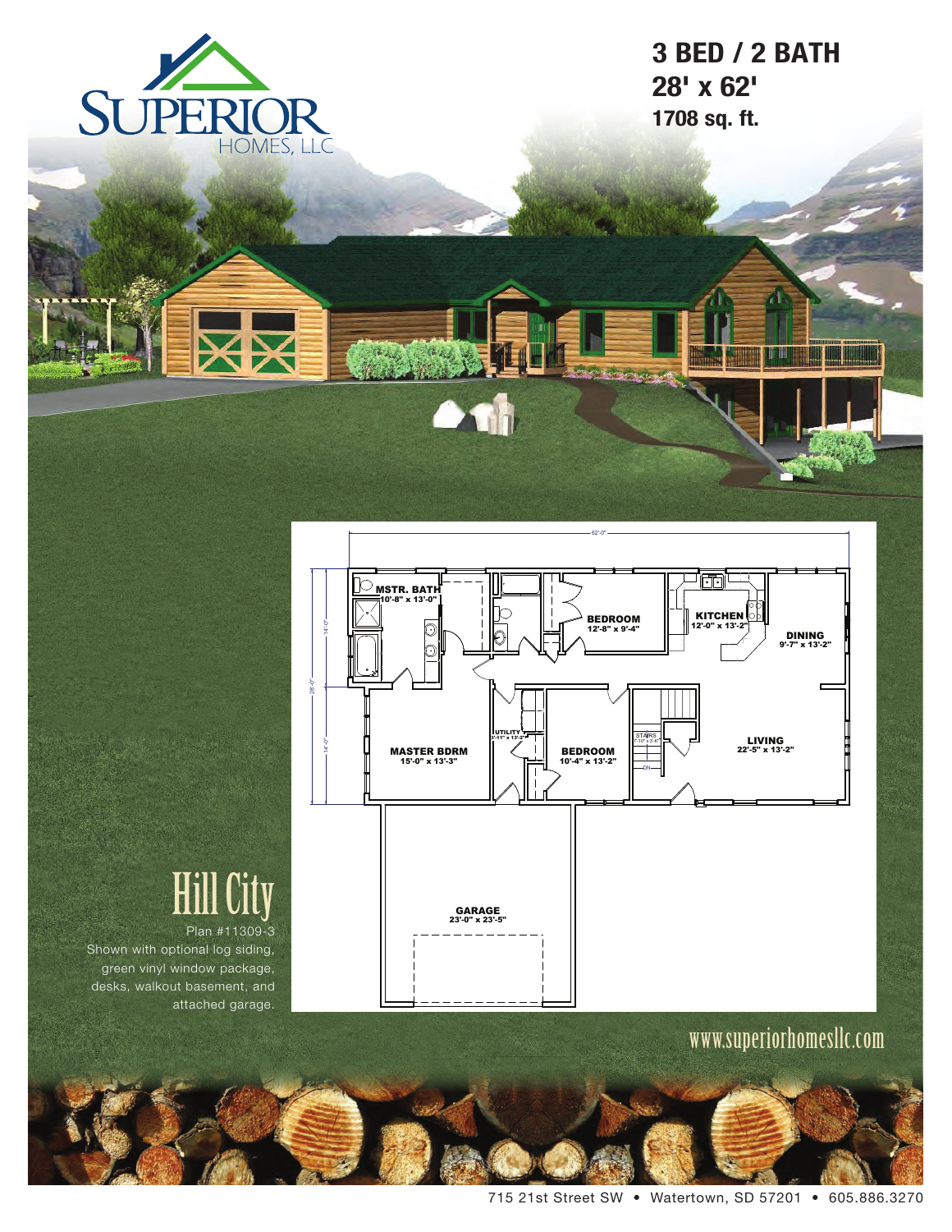

X

**3 BED / 2 BATH 28' x 62' 1708 sq. ft.**



 $\bullet$ 

# Hill City

Plan #11309-3 Shown with optional log siding, green vinyl window package, desks, walkout basement, and attached garage.

www.superiorhomesllc.com